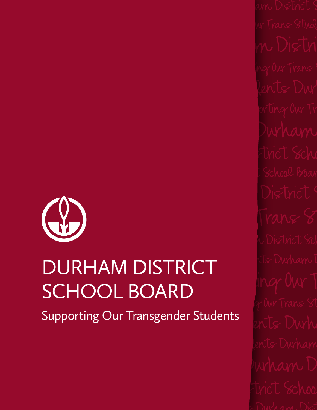

# DURHAM DISTRICT BURHAM DISTRICT SUPPORTING OUR DURHAM DISTRICT SCHOOL BOARD

Supporting Our Transgender Students

**Supporting Course Students** BRTS DWW Supporting Our Trans Students Durham District School Board Supporting Our Trans Stu-Support of Durham District Support Trans Support Trans Support Trans Support Trans Supporting Our Trans Students Durham District School Board Supporting Our Trans Students Durham District School Board Supporting Our Trans Students Durham District School Board Supporting Our Trans Students Durham District School Board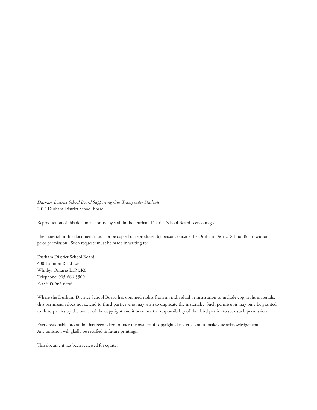*Durham District School Board Supporting Our Transgender Students* 2012 Durham District School Board

Reproduction of this document for use by staff in the Durham District School Board is encouraged.

The material in this document must not be copied or reproduced by persons outside the Durham District School Board without prior permission. Such requests must be made in writing to:

Durham District School Board 400 Taunton Road East Whitby, Ontario L1R 2K6 Telephone: 905-666-5500 Fax: 905-666-6946

Where the Durham District School Board has obtained rights from an individual or institution to include copyright materials, this permission does not extend to third parties who may wish to duplicate the materials. Such permission may only be granted to third parties by the owner of the copyright and it becomes the responsibility of the third parties to seek such permission.

Every reasonable precaution has been taken to trace the owners of copyrighted material and to make due acknowledgement. Any omission will gladly be rectified in future printings.

This document has been reviewed for equity.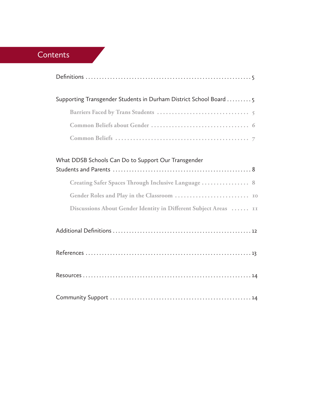## **Contents**

**Contract Contract** 

| Supporting Transgender Students in Durham District School Board 5 |
|-------------------------------------------------------------------|
|                                                                   |
|                                                                   |
|                                                                   |
| What DDSB Schools Can Do to Support Our Transgender               |
| Creating Safer Spaces Through Inclusive Language  8               |
|                                                                   |
| Discussions About Gender Identity in Different Subject Areas  II  |
|                                                                   |
|                                                                   |
|                                                                   |
|                                                                   |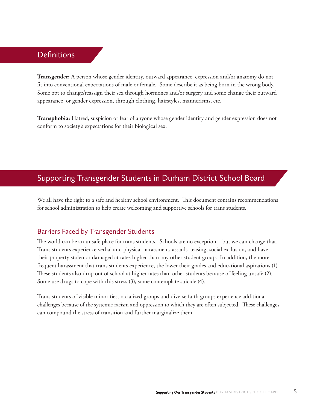## **Definitions**

**Transgender:** A person whose gender identity, outward appearance, expression and/or anatomy do not fit into conventional expectations of male or female. Some describe it as being born in the wrong body. Some opt to change/reassign their sex through hormones and/or surgery and some change their outward appearance, or gender expression, through clothing, hairstyles, mannerisms, etc.

**Transphobia:** Hatred, suspicion or fear of anyone whose gender identity and gender expression does not conform to society's expectations for their biological sex.

## Supporting Transgender Students in Durham District School Board

We all have the right to a safe and healthy school environment. This document contains recommendations for school administration to help create welcoming and supportive schools for trans students.

#### Barriers Faced by Transgender Students

The world can be an unsafe place for trans students. Schools are no exception—but we can change that. Trans students experience verbal and physical harassment, assault, teasing, social exclusion, and have their property stolen or damaged at rates higher than any other student group. In addition, the more frequent harassment that trans students experience, the lower their grades and educational aspirations (1). These students also drop out of school at higher rates than other students because of feeling unsafe (2). Some use drugs to cope with this stress (3), some contemplate suicide (4).

Trans students of visible minorities, racialized groups and diverse faith groups experience additional challenges because of the systemic racism and oppression to which they are often subjected. These challenges can compound the stress of transition and further marginalize them.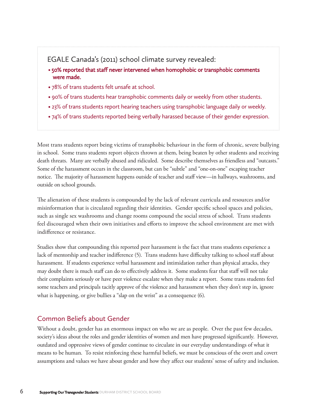#### EGALE Canada's (2011) school climate survey revealed:

- 50% reported that staff never intervened when homophobic or transphobic comments were made.
- 78% of trans students felt unsafe at school.
- 90% of trans students hear transphobic comments daily or weekly from other students.
- 23% of trans students report hearing teachers using transphobic language daily or weekly.
- 74% of trans students reported being verbally harassed because of their gender expression.

Most trans students report being victims of transphobic behaviour in the form of chronic, severe bullying in school. Some trans students report objects thrown at them, being beaten by other students and receiving death threats. Many are verbally abused and ridiculed. Some describe themselves as friendless and "outcasts." Some of the harassment occurs in the classroom, but can be "subtle" and "one-on-one" escaping teacher notice. The majority of harassment happens outside of teacher and staff view—in hallways, washrooms, and outside on school grounds.

The alienation of these students is compounded by the lack of relevant curricula and resources and/or misinformation that is circulated regarding their identities. Gender specific school spaces and policies, such as single sex washrooms and change rooms compound the social stress of school. Trans students feel discouraged when their own initiatives and efforts to improve the school environment are met with indifference or resistance.

Studies show that compounding this reported peer harassment is the fact that trans students experience a lack of mentorship and teacher indifference (5). Trans students have difficulty talking to school staff about harassment. If students experience verbal harassment and intimidation rather than physical attacks, they may doubt there is much staff can do to effectively address it. Some students fear that staff will not take their complaints seriously or have peer violence escalate when they make a report. Some trans students feel some teachers and principals tacitly approve of the violence and harassment when they don't step in, ignore what is happening, or give bullies a "slap on the wrist" as a consequence (6).

#### Common Beliefs about Gender

Without a doubt, gender has an enormous impact on who we are as people. Over the past few decades, society's ideas about the roles and gender identities of women and men have progressed significantly. However, outdated and oppressive views of gender continue to circulate in our everyday understandings of what it means to be human. To resist reinforcing these harmful beliefs, we must be conscious of the overt and covert assumptions and values we have about gender and how they affect our students' sense of safety and inclusion.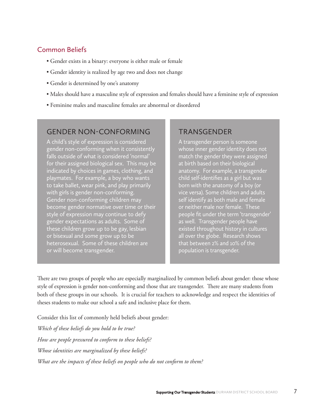## Common Beliefs

- Gender exists in a binary: everyone is either male or female
- Gender identity is realized by age two and does not change
- Gender is determined by one's anatomy
- Males should have a masculine style of expression and females should have a feminine style of expression
- Feminine males and masculine females are abnormal or disordered

## GENDER NON-CONFORMING

A child's style of expression is considered gender non-conforming when it consistently falls outside of what is considered 'normal' for their assigned biological sex. This may be indicated by choices in games, clothing, and playmates. For example, a boy who wants to take ballet, wear pink, and play primarily with girls is gender non-conforming. Gender non-conforming children may become gender normative over time or their style of expression may continue to defy gender expectations as adults. Some of these children grow up to be gay, lesbian or bisexual and some grow up to be heterosexual. Some of these children are or will become transgender.

## TRANSGENDER

A transgender person is someone whose inner gender identity does not match the gender they were assigned at birth based on their biological anatomy. For example, a transgender child self-identifies as a girl but was born with the anatomy of a boy (or vice versa). Some children and adults self identify as both male and female or neither male nor female. These people fit under the term 'transgender' as well. Transgender people have existed throughout history in cultures all over the globe. Research shows that between 2% and 10% of the population is transgender.

There are two groups of people who are especially marginalized by common beliefs about gender: those whose style of expression is gender non-conforming and those that are transgender. There are many students from both of these groups in our schools. It is crucial for teachers to acknowledge and respect the identities of theses students to make our school a safe and inclusive place for them.

Consider this list of commonly held beliefs about gender:

*Which of these beliefs do you hold to be true? How are people pressured to conform to these beliefs? Whose identities are marginalized by these beliefs? What are the impacts of these beliefs on people who do not conform to them?*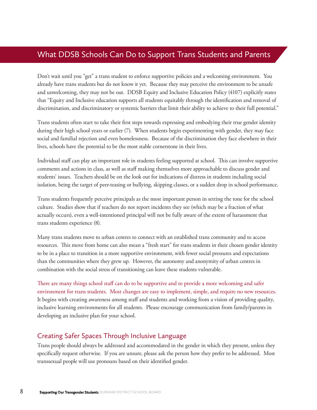## What DDSB Schools Can Do to Support Trans Students and Parents

Don't wait until you "get" a trans student to enforce supportive policies and a welcoming environment. You already have trans students but do not know it yet. Because they may perceive the environment to be unsafe and unwelcoming, they may not be out. DDSB Equity and Inclusive Education Policy (4107) explicitly states that "Equity and Inclusive education supports all students equitably through the identification and removal of discrimination, and discriminatory or systemic barriers that limit their ability to achieve to their full potential."

Trans students often start to take their first steps towards expressing and embodying their true gender identity during their high school years or earlier (7). When students begin experimenting with gender, they may face social and familial rejection and even homelessness. Because of the discrimination they face elsewhere in their lives, schools have the potential to be the most stable cornerstone in their lives.

Individual staff can play an important role in students feeling supported at school. This can involve supportive comments and actions in class, as well as staff making themselves more approachable to discuss gender and students' issues. Teachers should be on the look out for indications of distress in students including social isolation, being the target of peer-teasing or bullying, skipping classes, or a sudden drop in school performance.

Trans students frequently perceive principals as the most important person in setting the tone for the school culture. Studies show that if teachers do not report incidents they see (which may be a fraction of what actually occurs), even a well-intentioned principal will not be fully aware of the extent of harassment that trans students experience (8).

Many trans students move to urban centres to connect with an established trans community and to access resources. This move from home can also mean a "fresh start" for trans students in their chosen gender identity to be in a place to transition in a more supportive environment, with fewer social pressures and expectations than the communities where they grew up. However, the autonomy and anonymity of urban centres in combination with the social stress of transitioning can leave these students vulnerable.

There are many things school staff can do to be supportive and to provide a more welcoming and safer environment for trans students. Most changes are easy to implement, simple, and require no new resources. It begins with creating awareness among staff and students and working from a vision of providing quality, inclusive learning environments for all students. Please encourage communication from family/parents in developing an inclusive plan for your school.

#### Creating Safer Spaces Through Inclusive Language

Trans people should always be addressed and accommodated in the gender in which they present, unless they specifically request otherwise. If you are unsure, please ask the person how they prefer to be addressed. Most transsexual people will use pronouns based on their identified gender.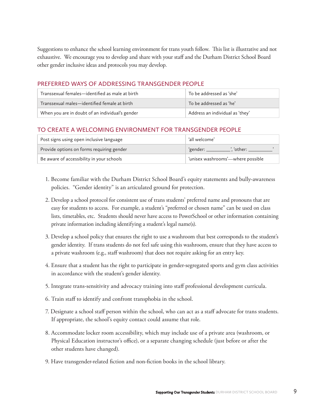Suggestions to enhance the school learning environment for trans youth follow. This list is illustrative and not exhaustive. We encourage you to develop and share with your staff and the Durham District School Board other gender inclusive ideas and protocols you may develop.

#### PREFERRED WAYS OF ADDRESSING TRANSGENDER PEOPLE

| Transsexual females—identified as male at birth | To be addressed as 'she'        |
|-------------------------------------------------|---------------------------------|
| Transsexual males—identified female at birth    | To be addressed as 'he'         |
| When you are in doubt of an individual's gender | Address an individual as 'they' |

#### TO CREATE A WELCOMING ENVIRONMENT FOR TRANSGENDER PEOPLE

| Post signs using open inclusive language  | 'all welcome'                     |
|-------------------------------------------|-----------------------------------|
| Provide options on forms requiring gender | other: '<br>ʻgender: kamalar      |
| Be aware of accessibility in your schools | 'unisex washrooms'—where possible |

- 1. Become familiar with the Durham District School Board's equity statements and bully-awareness policies. "Gender identity" is an articulated ground for protection.
- 2. Develop a school protocol for consistent use of trans students' preferred name and pronouns that are easy for students to access. For example, a student's "preferred or chosen name" can be used on class lists, timetables, etc. Students should never have access to PowerSchool or other information containing private information including identifying a student's legal name(s).
- 3. Develop a school policy that ensures the right to use a washroom that best corresponds to the student's gender identity. If trans students do not feel safe using this washroom, ensure that they have access to a private washroom (e.g., staff washroom) that does not require asking for an entry key.
- 4. Ensure that a student has the right to participate in gender-segregated sports and gym class activities in accordance with the student's gender identity.
- 5. Integrate trans-sensitivity and advocacy training into staff professional development curricula.
- 6. Train staff to identify and confront transphobia in the school.
- 7. Designate a school staff person within the school, who can act as a staff advocate for trans students. If appropriate, the school's equity contact could assume that role.
- 8. Accommodate locker room accessibility, which may include use of a private area (washroom, or Physical Education instructor's office), or a separate changing schedule (just before or after the other students have changed).
- 9. Have transgender-related fiction and non-fiction books in the school library.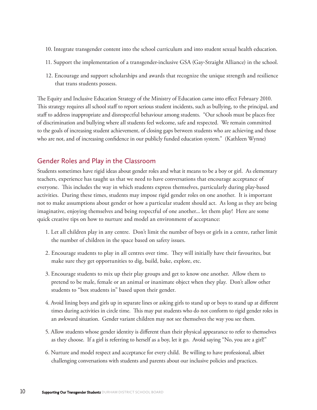- 10. Integrate transgender content into the school curriculum and into student sexual health education.
- 11. Support the implementation of a transgender-inclusive GSA (Gay-Straight Alliance) in the school.
- 12. Encourage and support scholarships and awards that recognize the unique strength and resilience that trans students possess.

The Equity and Inclusive Education Strategy of the Ministry of Education came into effect February 2010. This strategy requires all school staff to report serious student incidents, such as bullying, to the principal, and staff to address inappropriate and disrespectful behaviour among students. "Our schools must be places free of discrimination and bullying where all students feel welcome, safe and respected. We remain committed to the goals of increasing student achievement, of closing gaps between students who are achieving and those who are not, and of increasing confidence in our publicly funded education system." (Kathleen Wynne)

#### Gender Roles and Play in the Classroom

Students sometimes have rigid ideas about gender roles and what it means to be a boy or girl. As elementary teachers, experience has taught us that we need to have conversations that encourage acceptance of everyone. This includes the way in which students express themselves, particularly during play-based activities. During these times, students may impose rigid gender roles on one another. It is important not to make assumptions about gender or how a particular student should act. As long as they are being imaginative, enjoying themselves and being respectful of one another... let them play! Here are some quick creative tips on how to nurture and model an environment of acceptance:

- 1. Let all children play in any centre. Don't limit the number of boys or girls in a centre, rather limit the number of children in the space based on safety issues.
- 2. Encourage students to play in all centres over time. They will initially have their favourites, but make sure they get opportunities to dig, build, bake, explore, etc.
- 3. Encourage students to mix up their play groups and get to know one another. Allow them to pretend to be male, female or an animal or inanimate object when they play. Don't allow other students to "box students in" based upon their gender.
- 4. Avoid lining boys and girls up in separate lines or asking girls to stand up or boys to stand up at different times during activities in circle time. This may put students who do not conform to rigid gender roles in an awkward situation. Gender variant children may not see themselves the way you see them.
- 5. Allow students whose gender identity is different than their physical appearance to refer to themselves as they choose. If a girl is referring to herself as a boy, let it go. Avoid saying "No, you are a girl!"
- 6. Nurture and model respect and acceptance for every child. Be willing to have professional, albiet challenging conversations with students and parents about our inclusive policies and practices.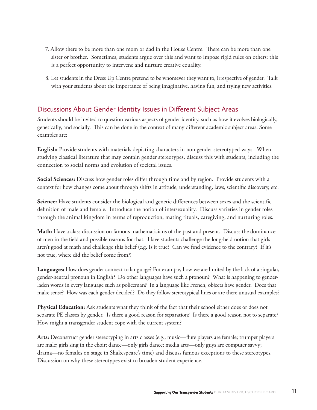- 7. Allow there to be more than one mom or dad in the House Centre. There can be more than one sister or brother. Sometimes, students argue over this and want to impose rigid rules on others: this is a perfect opportunity to intervene and nurture creative equality.
- 8. Let students in the Dress Up Centre pretend to be whomever they want to, irrespective of gender. Talk with your students about the importance of being imaginative, having fun, and trying new activities.

#### Discussions About Gender Identity Issues in Different Subject Areas

Students should be invited to question various aspects of gender identity, such as how it evolves biologically, genetically, and socially. This can be done in the context of many different academic subject areas. Some examples are:

**English:** Provide students with materials depicting characters in non gender stereotyped ways. When studying classical literature that may contain gender stereotypes, discuss this with students, including the connection to social norms and evolution of societal issues.

**Social Sciences:** Discuss how gender roles differ through time and by region. Provide students with a context for how changes come about through shifts in attitude, understanding, laws, scientific discovery, etc.

**Science:** Have students consider the biological and genetic differences between sexes and the scientific definition of male and female. Introduce the notion of intersexuality. Discuss varieties in gender roles through the animal kingdom in terms of reproduction, mating rituals, caregiving, and nurturing roles.

**Math:** Have a class discussion on famous mathematicians of the past and present. Discuss the dominance of men in the field and possible reasons for that. Have students challenge the long-held notion that girls aren't good at math and challenge this belief (e.g. Is it true? Can we find evidence to the contrary? If it's not true, where did the belief come from?)

**Languages:** How does gender connect to language? For example, how we are limited by the lack of a singular, gender-neutral pronoun in English? Do other languages have such a pronoun? What is happening to genderladen words in every language such as policeman? In a language like French, objects have gender. Does that make sense? How was each gender decided? Do they follow stereotypical lines or are there unusual examples?

**Physical Education:** Ask students what they think of the fact that their school either does or does not separate PE classes by gender. Is there a good reason for separation? Is there a good reason not to separate? How might a transgender student cope with the current system?

**Arts:** Deconstruct gender stereotyping in arts classes (e.g., music—flute players are female; trumpet players are male; girls sing in the choir; dance—only girls dance; media arts—only guys are computer savvy; drama—no females on stage in Shakespeare's time) and discuss famous exceptions to these stereotypes. Discussion on why these stereotypes exist to broaden student experience.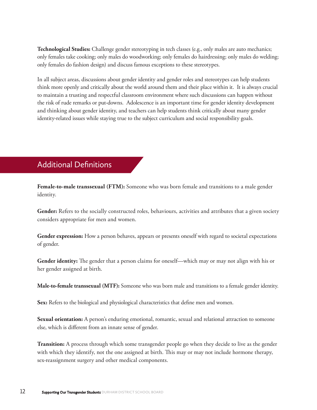**Technological Studies:** Challenge gender stereotyping in tech classes (e.g., only males are auto mechanics; only females take cooking; only males do woodworking; only females do hairdressing; only males do welding; only females do fashion design) and discuss famous exceptions to these stereotypes.

In all subject areas, discussions about gender identity and gender roles and stereotypes can help students think more openly and critically about the world around them and their place within it. It is always crucial to maintain a trusting and respectful classroom environment where such discussions can happen without the risk of rude remarks or put-downs. Adolescence is an important time for gender identity development and thinking about gender identity, and teachers can help students think critically about many gender identity-related issues while staying true to the subject curriculum and social responsibility goals.

## Additional Definitions

**Female-to-male transsexual (FTM):** Someone who was born female and transitions to a male gender identity.

**Gender:** Refers to the socially constructed roles, behaviours, activities and attributes that a given society considers appropriate for men and women.

Gender expression: How a person behaves, appears or presents oneself with regard to societal expectations of gender.

**Gender identity:** The gender that a person claims for oneself—which may or may not align with his or her gender assigned at birth.

**Male-to-female transsexual (MTF):** Someone who was born male and transitions to a female gender identity.

Sex: Refers to the biological and physiological characteristics that define men and women.

**Sexual orientation:** A person's enduring emotional, romantic, sexual and relational attraction to someone else, which is different from an innate sense of gender.

**Transition:** A process through which some transgender people go when they decide to live as the gender with which they identify, not the one assigned at birth. This may or may not include hormone therapy, sex-reassignment surgery and other medical components.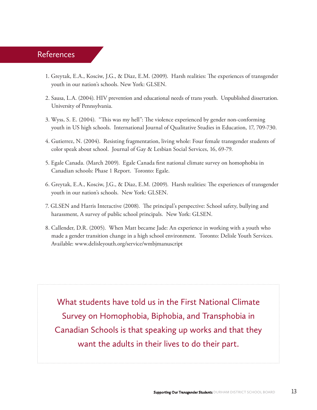## References

- 1. Greytak, E.A., Kosciw, J.G., & Diaz, E.M. (2009). Harsh realities: The experiences of transgender youth in our nation's schools. New York: GLSEN.
- 2. Sausa, L.A. (2004). HIV prevention and educational needs of trans youth. Unpublished dissertation. University of Pennsylvania.
- 3. Wyss, S. E. (2004). "This was my hell": The violence experienced by gender non-conforming youth in US high schools. International Journal of Qualitative Studies in Education, 17, 709-730.
- 4. Gutierrez, N. (2004). Resisting fragmentation, living whole: Four female transgender students of color speak about school. Journal of Gay & Lesbian Social Services, 16, 69-79.
- 5. Egale Canada. (March 2009). Egale Canada first national climate survey on homophobia in Canadian schools: Phase 1 Report. Toronto: Egale.
- 6. Greytak, E.A., Kosciw, J.G., & Diaz, E.M. (2009). Harsh realities: The experiences of transgender youth in our nation's schools. New York: GLSEN.
- 7. GLSEN and Harris Interactive (2008). The principal's perspective: School safety, bullying and harassment, A survey of public school principals. New York: GLSEN.
- 8. Callender, D.R. (2005). When Matt became Jade: An experience in working with a youth who made a gender transition change in a high school environment. Toronto: Delisle Youth Services. Available: www.delisleyouth.org/service/wmbjmanuscript

What students have told us in the First National Climate Survey on Homophobia, Biphobia, and Transphobia in Canadian Schools is that speaking up works and that they want the adults in their lives to do their part.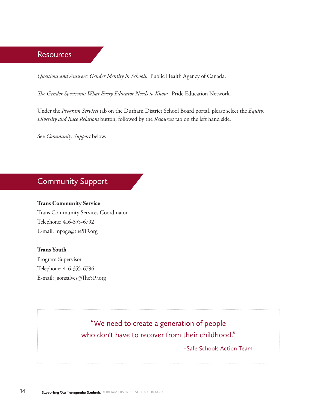#### **Resources**

*Questions and Answers: Gender Identity in Schools*. Public Health Agency of Canada.

*The Gender Spectrum: What Every Educator Needs to Know*. Pride Education Network.

Under the *Program Services* tab on the Durham District School Board portal, please select the *Equity, Diversity and Race Relations* button, followed by the *Resources* tab on the left hand side.

See *Community Support* below.

## Community Support

#### **Trans Community Service**

Trans Community Services Coordinator Telephone: 416-355-6792 E-mail: mpage@the519.org

#### **Trans Youth**

Program Supervisor Telephone: 416-355-6796 E-mail: jgonsalves@The519.org

> "We need to create a generation of people who don't have to recover from their childhood."

> > –Safe Schools Action Team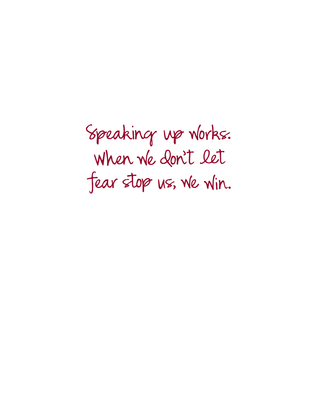Speaking up works. When we don't let fear stop us, we win.